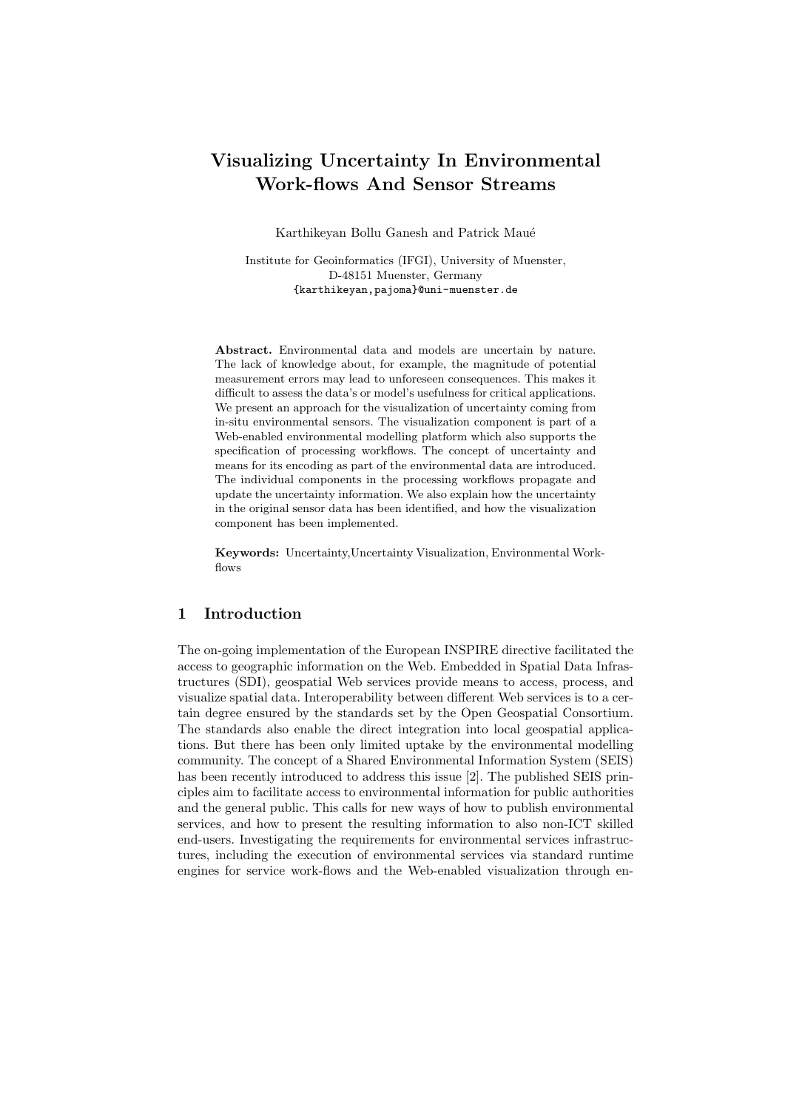# Visualizing Uncertainty In Environmental Work-flows And Sensor Streams

Karthikeyan Bollu Ganesh and Patrick Maué

Institute for Geoinformatics (IFGI), University of Muenster, D-48151 Muenster, Germany {karthikeyan,pajoma}@uni-muenster.de

Abstract. Environmental data and models are uncertain by nature. The lack of knowledge about, for example, the magnitude of potential measurement errors may lead to unforeseen consequences. This makes it difficult to assess the data's or model's usefulness for critical applications. We present an approach for the visualization of uncertainty coming from in-situ environmental sensors. The visualization component is part of a Web-enabled environmental modelling platform which also supports the specification of processing workflows. The concept of uncertainty and means for its encoding as part of the environmental data are introduced. The individual components in the processing workflows propagate and update the uncertainty information. We also explain how the uncertainty in the original sensor data has been identified, and how the visualization component has been implemented.

Keywords: Uncertainty,Uncertainty Visualization, Environmental Workflows

## 1 Introduction

The on-going implementation of the European INSPIRE directive facilitated the access to geographic information on the Web. Embedded in Spatial Data Infrastructures (SDI), geospatial Web services provide means to access, process, and visualize spatial data. Interoperability between different Web services is to a certain degree ensured by the standards set by the Open Geospatial Consortium. The standards also enable the direct integration into local geospatial applications. But there has been only limited uptake by the environmental modelling community. The concept of a Shared Environmental Information System (SEIS) has been recently introduced to address this issue [2]. The published SEIS principles aim to facilitate access to environmental information for public authorities and the general public. This calls for new ways of how to publish environmental services, and how to present the resulting information to also non-ICT skilled end-users. Investigating the requirements for environmental services infrastructures, including the execution of environmental services via standard runtime engines for service work-flows and the Web-enabled visualization through en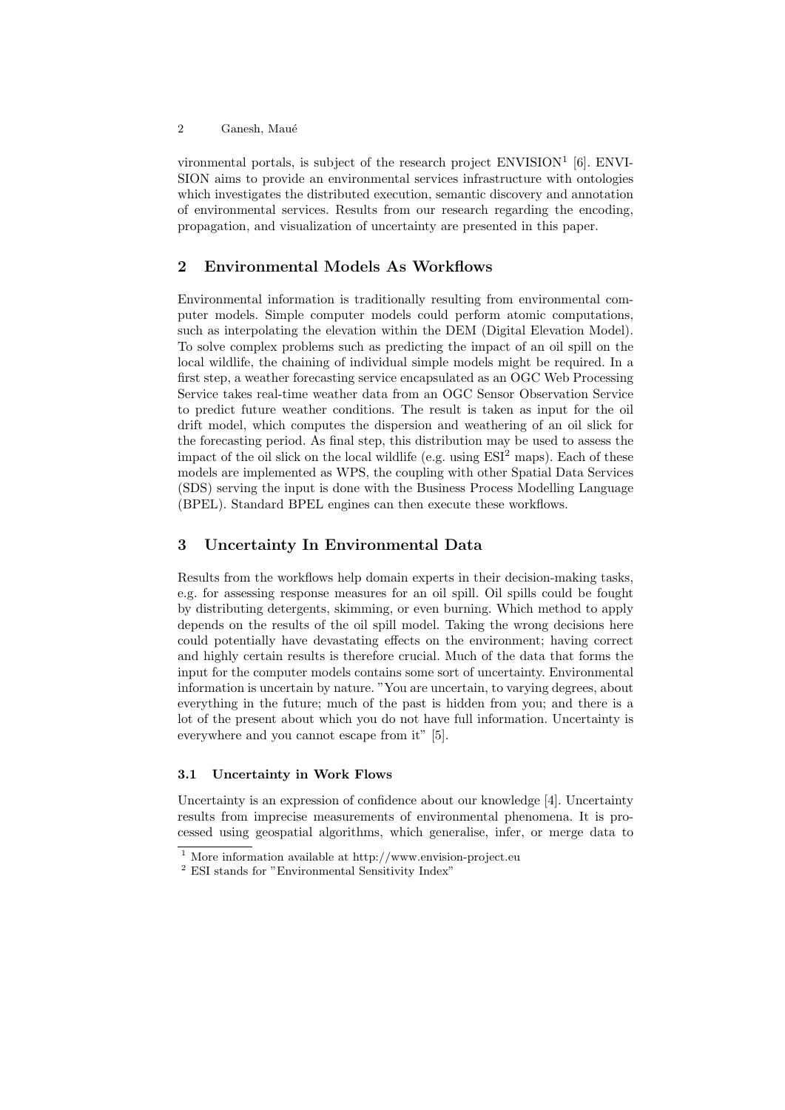vironmental portals, is subject of the research project ENVISION<sup>1</sup> [6]. ENVI-SION aims to provide an environmental services infrastructure with ontologies which investigates the distributed execution, semantic discovery and annotation of environmental services. Results from our research regarding the encoding, propagation, and visualization of uncertainty are presented in this paper.

## 2 Environmental Models As Workflows

Environmental information is traditionally resulting from environmental computer models. Simple computer models could perform atomic computations, such as interpolating the elevation within the DEM (Digital Elevation Model). To solve complex problems such as predicting the impact of an oil spill on the local wildlife, the chaining of individual simple models might be required. In a first step, a weather forecasting service encapsulated as an OGC Web Processing Service takes real-time weather data from an OGC Sensor Observation Service to predict future weather conditions. The result is taken as input for the oil drift model, which computes the dispersion and weathering of an oil slick for the forecasting period. As final step, this distribution may be used to assess the impact of the oil slick on the local wildlife (e.g. using  $ESI<sup>2</sup>$  maps). Each of these models are implemented as WPS, the coupling with other Spatial Data Services (SDS) serving the input is done with the Business Process Modelling Language (BPEL). Standard BPEL engines can then execute these workflows.

## 3 Uncertainty In Environmental Data

Results from the workflows help domain experts in their decision-making tasks, e.g. for assessing response measures for an oil spill. Oil spills could be fought by distributing detergents, skimming, or even burning. Which method to apply depends on the results of the oil spill model. Taking the wrong decisions here could potentially have devastating effects on the environment; having correct and highly certain results is therefore crucial. Much of the data that forms the input for the computer models contains some sort of uncertainty. Environmental information is uncertain by nature. "You are uncertain, to varying degrees, about everything in the future; much of the past is hidden from you; and there is a lot of the present about which you do not have full information. Uncertainty is everywhere and you cannot escape from it" [5].

#### 3.1 Uncertainty in Work Flows

Uncertainty is an expression of confidence about our knowledge [4]. Uncertainty results from imprecise measurements of environmental phenomena. It is processed using geospatial algorithms, which generalise, infer, or merge data to

 $1$  More information available at http://www.envision-project.eu

 $^2$  ESI stands for "Environmental Sensitivity Index"  $\,$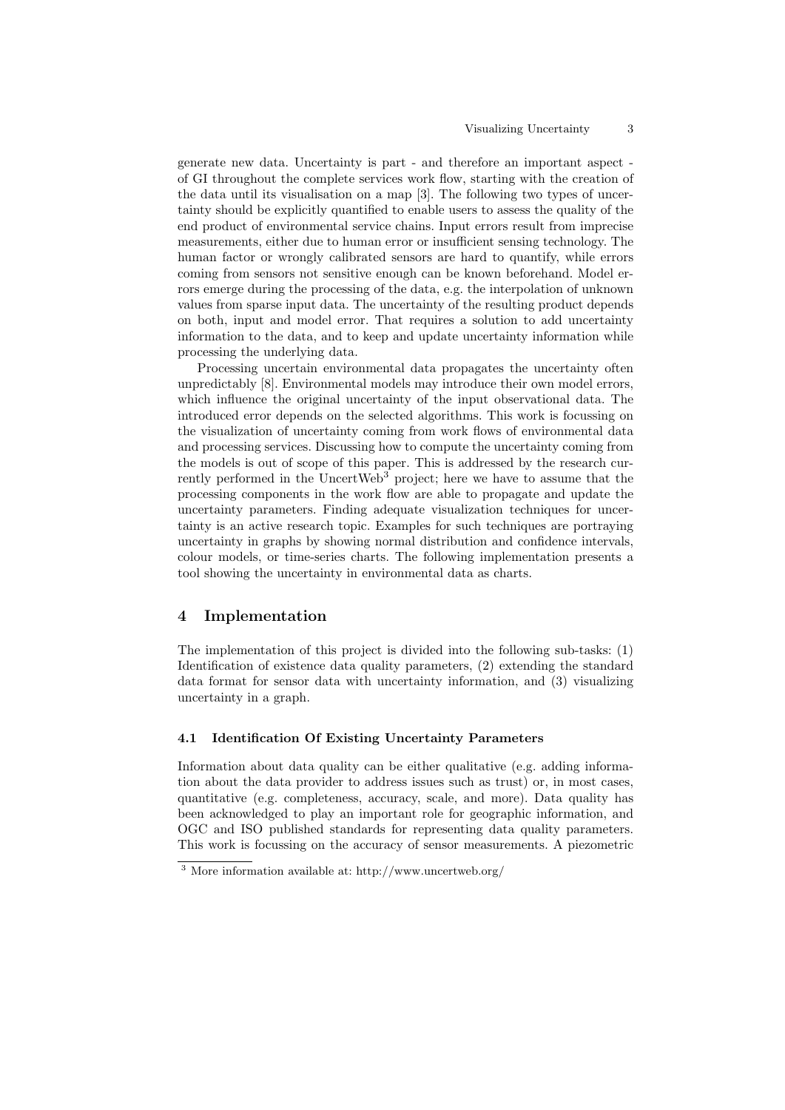generate new data. Uncertainty is part - and therefore an important aspect of GI throughout the complete services work flow, starting with the creation of the data until its visualisation on a map [3]. The following two types of uncertainty should be explicitly quantified to enable users to assess the quality of the end product of environmental service chains. Input errors result from imprecise measurements, either due to human error or insufficient sensing technology. The human factor or wrongly calibrated sensors are hard to quantify, while errors coming from sensors not sensitive enough can be known beforehand. Model errors emerge during the processing of the data, e.g. the interpolation of unknown values from sparse input data. The uncertainty of the resulting product depends on both, input and model error. That requires a solution to add uncertainty information to the data, and to keep and update uncertainty information while processing the underlying data.

Processing uncertain environmental data propagates the uncertainty often unpredictably [8]. Environmental models may introduce their own model errors, which influence the original uncertainty of the input observational data. The introduced error depends on the selected algorithms. This work is focussing on the visualization of uncertainty coming from work flows of environmental data and processing services. Discussing how to compute the uncertainty coming from the models is out of scope of this paper. This is addressed by the research currently performed in the UncertWeb<sup>3</sup> project; here we have to assume that the processing components in the work flow are able to propagate and update the uncertainty parameters. Finding adequate visualization techniques for uncertainty is an active research topic. Examples for such techniques are portraying uncertainty in graphs by showing normal distribution and confidence intervals, colour models, or time-series charts. The following implementation presents a tool showing the uncertainty in environmental data as charts.

## 4 Implementation

The implementation of this project is divided into the following sub-tasks: (1) Identification of existence data quality parameters, (2) extending the standard data format for sensor data with uncertainty information, and (3) visualizing uncertainty in a graph.

#### 4.1 Identification Of Existing Uncertainty Parameters

Information about data quality can be either qualitative (e.g. adding information about the data provider to address issues such as trust) or, in most cases, quantitative (e.g. completeness, accuracy, scale, and more). Data quality has been acknowledged to play an important role for geographic information, and OGC and ISO published standards for representing data quality parameters. This work is focussing on the accuracy of sensor measurements. A piezometric

 $^3$  More information available at: http://www.uncertweb.org/  $\,$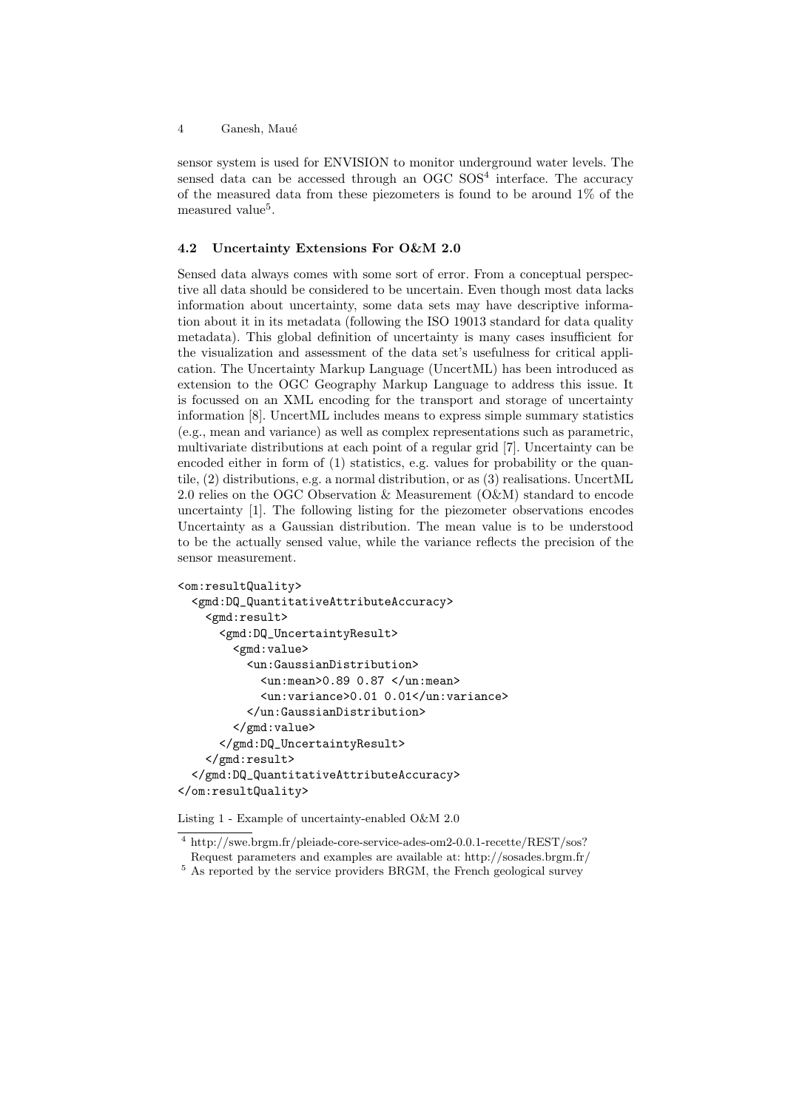4 Ganesh, Maué

sensor system is used for ENVISION to monitor underground water levels. The sensed data can be accessed through an OGC SOS<sup>4</sup> interface. The accuracy of the measured data from these piezometers is found to be around 1% of the measured value<sup>5</sup>.

#### 4.2 Uncertainty Extensions For O&M 2.0

Sensed data always comes with some sort of error. From a conceptual perspective all data should be considered to be uncertain. Even though most data lacks information about uncertainty, some data sets may have descriptive information about it in its metadata (following the ISO 19013 standard for data quality metadata). This global definition of uncertainty is many cases insufficient for the visualization and assessment of the data set's usefulness for critical application. The Uncertainty Markup Language (UncertML) has been introduced as extension to the OGC Geography Markup Language to address this issue. It is focussed on an XML encoding for the transport and storage of uncertainty information [8]. UncertML includes means to express simple summary statistics (e.g., mean and variance) as well as complex representations such as parametric, multivariate distributions at each point of a regular grid [7]. Uncertainty can be encoded either in form of (1) statistics, e.g. values for probability or the quantile, (2) distributions, e.g. a normal distribution, or as (3) realisations. UncertML 2.0 relies on the OGC Observation & Measurement (O&M) standard to encode uncertainty [1]. The following listing for the piezometer observations encodes Uncertainty as a Gaussian distribution. The mean value is to be understood to be the actually sensed value, while the variance reflects the precision of the sensor measurement.

```
<om:resultQuality>
  <gmd:DQ_QuantitativeAttributeAccuracy>
    <gmd:result>
      <gmd:DQ_UncertaintyResult>
        <gmd:value>
          <un:GaussianDistribution>
            <un:mean>0.89 0.87 </un:mean>
            <un:variance>0.01 0.01</un:variance>
          </un:GaussianDistribution>
        </gmd:value>
      </gmd:DQ_UncertaintyResult>
    </gmd:result>
  </gmd:DQ_QuantitativeAttributeAccuracy>
</om:resultQuality>
```
Listing 1 - Example of uncertainty-enabled O&M 2.0

<sup>&</sup>lt;sup>4</sup> http://swe.brgm.fr/pleiade-core-service-ades-om2-0.0.1-recette/REST/sos?

Request parameters and examples are available at: http://sosades.brgm.fr/

<sup>&</sup>lt;sup>5</sup> As reported by the service providers BRGM, the French geological survey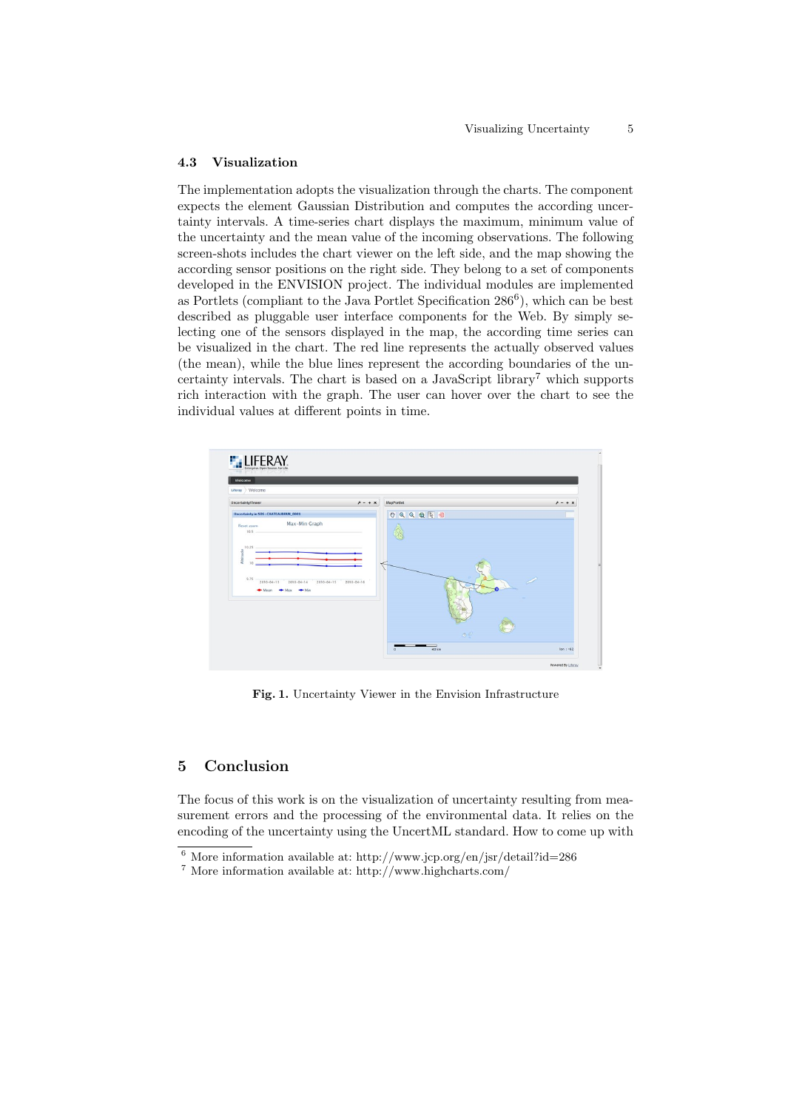#### 4.3 Visualization

The implementation adopts the visualization through the charts. The component expects the element Gaussian Distribution and computes the according uncertainty intervals. A time-series chart displays the maximum, minimum value of the uncertainty and the mean value of the incoming observations. The following screen-shots includes the chart viewer on the left side, and the map showing the according sensor positions on the right side. They belong to a set of components developed in the ENVISION project. The individual modules are implemented as Portlets (compliant to the Java Portlet Specification 286<sup>6</sup>), which can be best described as pluggable user interface components for the Web. By simply selecting one of the sensors displayed in the map, the according time series can be visualized in the chart. The red line represents the actually observed values (the mean), while the blue lines represent the according boundaries of the uncertainty intervals. The chart is based on a JavaScript library<sup>7</sup> which supports rich interaction with the graph. The user can hover over the chart to see the individual values at different points in time.



Fig. 1. Uncertainty Viewer in the Envision Infrastructure

#### 5 Conclusion

The focus of this work is on the visualization of uncertainty resulting from measurement errors and the processing of the environmental data. It relies on the encoding of the uncertainty using the UncertML standard. How to come up with

 $^6$  More information available at: http://www.jcp.org/en/jsr/detail?id=286

<sup>7</sup> More information available at: http://www.highcharts.com/